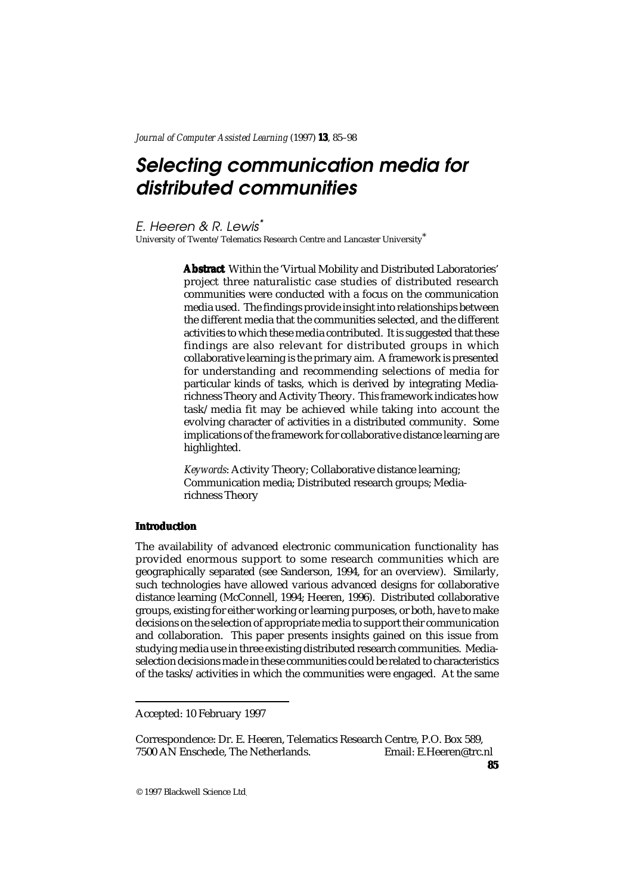# Selecting communication media for distributed communities

E. Heeren & R. Lewis\*

University of Twente/Telematics Research Centre and Lancaster University\*

**Abstract** Within the 'Virtual Mobility and Distributed Laboratories' project three naturalistic case studies of distributed research communities were conducted with a focus on the communication media used. The findings provide insight into relationships between the different media that the communities selected, and the different activities to which these media contributed. It is suggested that these findings are also relevant for distributed groups in which collaborative learning is the primary aim. A framework is presented for understanding and recommending selections of media for particular kinds of tasks, which is derived by integrating Mediarichness Theory and Activity Theory. This framework indicates how task/media fit may be achieved while taking into account the evolving character of activities in a distributed community. Some implications of the framework for collaborative distance learning are highlighted.

*Keywords*: Activity Theory; Collaborative distance learning; Communication media; Distributed research groups; Mediarichness Theory

# **Introduction**

The availability of advanced electronic communication functionality has provided enormous support to some research communities which are geographically separated (see Sanderson, 1994, for an overview). Similarly, such technologies have allowed various advanced designs for collaborative distance learning (McConnell, 1994; Heeren, 1996). Distributed collaborative groups, existing for either working or learning purposes, or both, have to make decisions on the selection of appropriate media to support their communication and collaboration. This paper presents insights gained on this issue from studying media use in three existing distributed research communities. Mediaselection decisions made in these communities could be related to characteristics of the tasks/activities in which the communities were engaged. At the same

Correspondence: Dr. E. Heeren, Telematics Research Centre, P.O. Box 589, 7500 AN Enschede, The Netherlands.

Accepted: 10 February 1997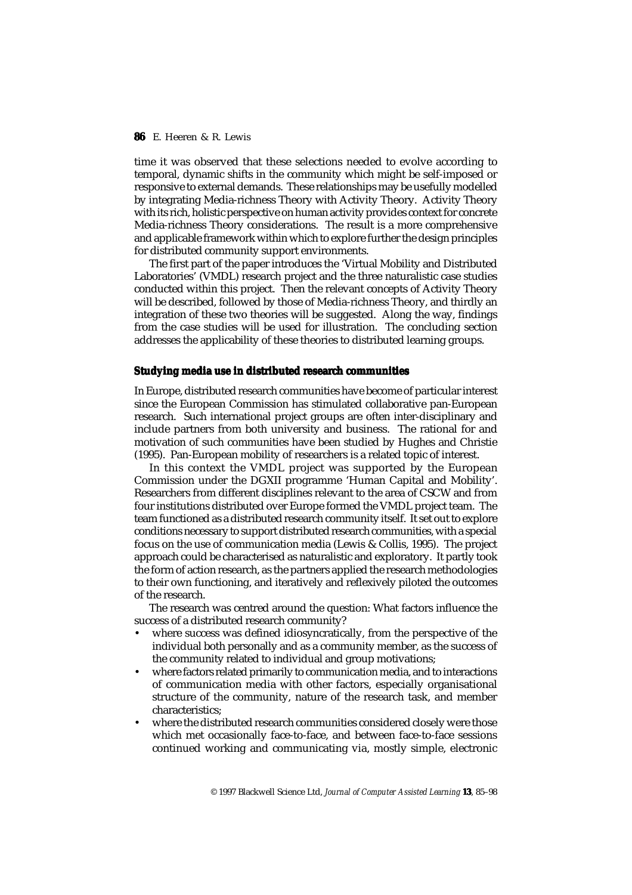time it was observed that these selections needed to evolve according to temporal, dynamic shifts in the community which might be self-imposed or responsive to external demands. These relationships may be usefully modelled by integrating Media-richness Theory with Activity Theory. Activity Theory with its rich, holistic perspective on human activity provides context for concrete Media-richness Theory considerations. The result is a more comprehensive and applicable framework within which to explore further the design principles for distributed community support environments.

The first part of the paper introduces the 'Virtual Mobility and Distributed Laboratories' (VMDL) research project and the three naturalistic case studies conducted within this project. Then the relevant concepts of Activity Theory will be described, followed by those of Media-richness Theory, and thirdly an integration of these two theories will be suggested. Along the way, findings from the case studies will be used for illustration. The concluding section addresses the applicability of these theories to distributed learning groups.

## **Studying media use in distributed research communities**

In Europe, distributed research communities have become of particular interest since the European Commission has stimulated collaborative pan-European research. Such international project groups are often inter-disciplinary and include partners from both university and business. The rational for and motivation of such communities have been studied by Hughes and Christie (1995). Pan-European mobility of researchers is a related topic of interest.

In this context the VMDL project was supported by the European Commission under the DGXII programme 'Human Capital and Mobility'. Researchers from different disciplines relevant to the area of CSCW and from four institutions distributed over Europe formed the VMDL project team. The team functioned as a distributed research community itself. It set out to explore conditions necessary to support distributed research communities, with a special focus on the use of communication media (Lewis & Collis, 1995). The project approach could be characterised as naturalistic and exploratory. It partly took the form of action research, as the partners applied the research methodologies to their own functioning, and iteratively and reflexively piloted the outcomes of the research.

The research was centred around the question: What factors influence the success of a distributed research community?

- where success was defined idiosyncratically, from the perspective of the individual both personally and as a community member, as the success of the community related to individual and group motivations;
- where factors related primarily to communication media, and to interactions of communication media with other factors, especially organisational structure of the community, nature of the research task, and member characteristics;
- where the distributed research communities considered closely were those which met occasionally face-to-face, and between face-to-face sessions continued working and communicating via, mostly simple, electronic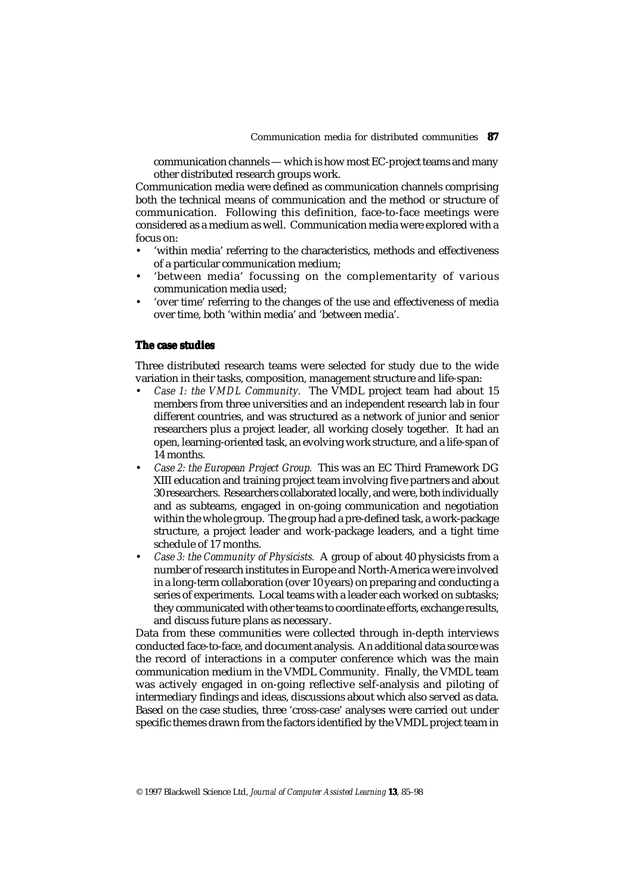communication channels — which is how most EC-project teams and many other distributed research groups work.

Communication media were defined as communication channels comprising both the technical means of communication and the method or structure of communication. Following this definition, face-to-face meetings were considered as a medium as well. Communication media were explored with a focus on:

- 'within media' referring to the characteristics, methods and effectiveness of a particular communication medium;
- 'between media' focussing on the complementarity of various communication media used;
- 'over time' referring to the changes of the use and effectiveness of media over time, both 'within media' and 'between media'.

## **The case studies**

Three distributed research teams were selected for study due to the wide variation in their tasks, composition, management structure and life-span:

- *Case 1: the VMDL Community.* The VMDL project team had about 15 members from three universities and an independent research lab in four different countries, and was structured as a network of junior and senior researchers plus a project leader, all working closely together. It had an open, learning-oriented task, an evolving work structure, and a life-span of 14 months.
- *Case 2: the European Project Group.* This was an EC Third Framework DG XIII education and training project team involving five partners and about 30 researchers. Researchers collaborated locally, and were, both individually and as subteams, engaged in on-going communication and negotiation within the whole group. The group had a pre-defined task, a work-package structure, a project leader and work-package leaders, and a tight time schedule of 17 months.
- *Case 3: the Community of Physicists.* A group of about 40 physicists from a number of research institutes in Europe and North-America were involved in a long-term collaboration (over 10 years) on preparing and conducting a series of experiments. Local teams with a leader each worked on subtasks; they communicated with other teams to coordinate efforts, exchange results, and discuss future plans as necessary.

Data from these communities were collected through in-depth interviews conducted face-to-face, and document analysis. An additional data source was the record of interactions in a computer conference which was the main communication medium in the VMDL Community. Finally, the VMDL team was actively engaged in on-going reflective self-analysis and piloting of intermediary findings and ideas, discussions about which also served as data. Based on the case studies, three 'cross-case' analyses were carried out under specific themes drawn from the factors identified by the VMDL project team in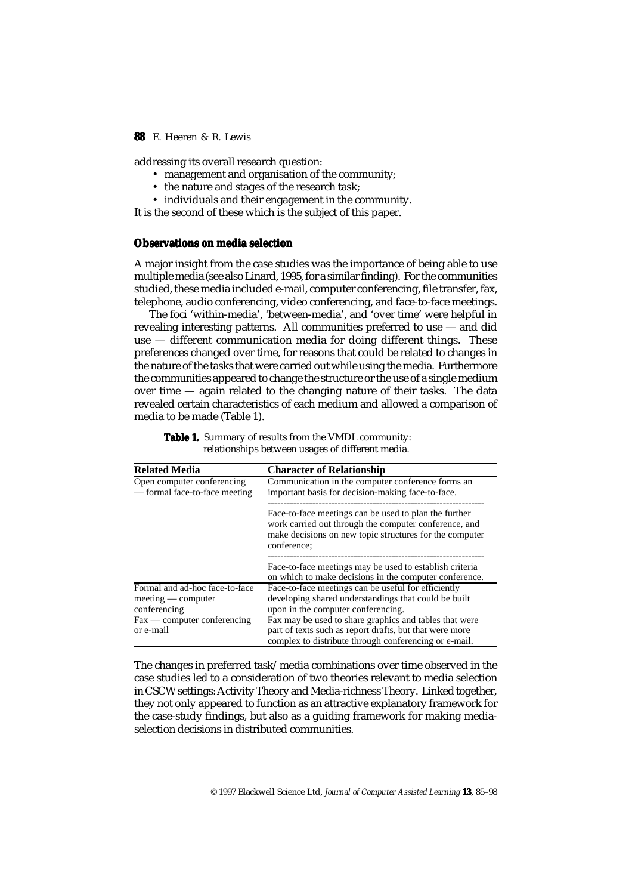addressing its overall research question:

- management and organisation of the community;
- the nature and stages of the research task;
- individuals and their engagement in the community.

It is the second of these which is the subject of this paper.

## **Observations on media selection**

A major insight from the case studies was the importance of being able to use multiple media (see also Linard, 1995, for a similar finding). For the communities studied, these media included e-mail, computer conferencing, file transfer, fax, telephone, audio conferencing, video conferencing, and face-to-face meetings.

The foci 'within-media', 'between-media', and 'over time' were helpful in revealing interesting patterns. All communities preferred to use — and did use — different communication media for doing different things. These preferences changed over time, for reasons that could be related to changes in the nature of the tasks that were carried out while using the media. Furthermore the communities appeared to change the structure or the use of a single medium over time — again related to the changing nature of their tasks. The data revealed certain characteristics of each medium and allowed a comparison of media to be made (Table 1).

| <b>Related Media</b>                                                   | <b>Character of Relationship</b>                                                                                                                                                         |
|------------------------------------------------------------------------|------------------------------------------------------------------------------------------------------------------------------------------------------------------------------------------|
| Open computer conferencing<br>— formal face-to-face meeting            | Communication in the computer conference forms an<br>important basis for decision-making face-to-face.                                                                                   |
|                                                                        | Face-to-face meetings can be used to plan the further<br>work carried out through the computer conference, and<br>make decisions on new topic structures for the computer<br>conference; |
|                                                                        | Face-to-face meetings may be used to establish criteria<br>on which to make decisions in the computer conference.                                                                        |
| Formal and ad-hoc face-to-face<br>$meeting$ — computer<br>conferencing | Face-to-face meetings can be useful for efficiently<br>developing shared understandings that could be built<br>upon in the computer conferencing.                                        |
| $Fax$ — computer conferencing<br>or e-mail                             | Fax may be used to share graphics and tables that were<br>part of texts such as report drafts, but that were more<br>complex to distribute through conferencing or e-mail.               |

Table 1. Summary of results from the VMDL community: relationships between usages of different media.

The changes in preferred task/media combinations over time observed in the case studies led to a consideration of two theories relevant to media selection in CSCW settings: Activity Theory and Media-richness Theory. Linked together, they not only appeared to function as an attractive explanatory framework for the case-study findings, but also as a guiding framework for making mediaselection decisions in distributed communities.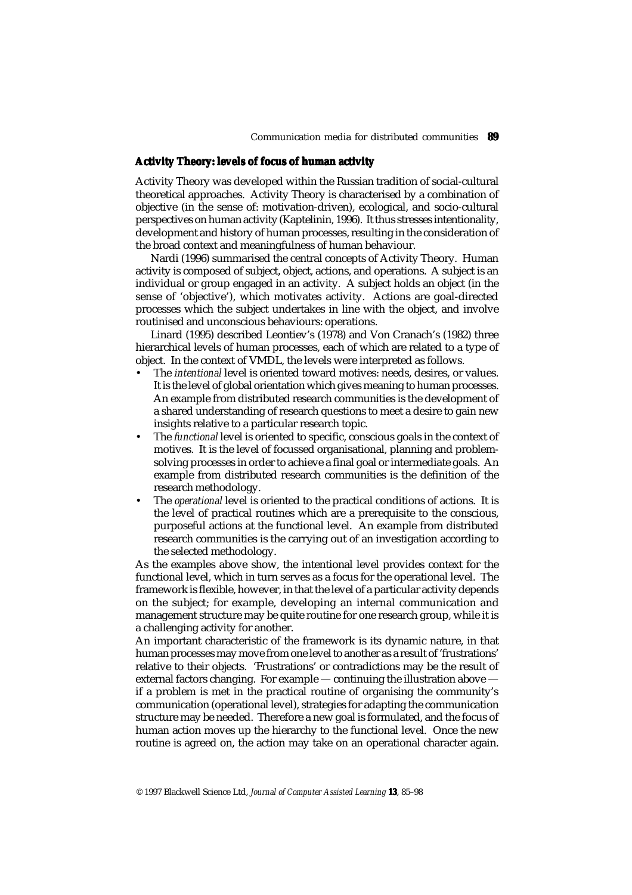## **Activity Theory: levels of focus of human activity**

Activity Theory was developed within the Russian tradition of social-cultural theoretical approaches. Activity Theory is characterised by a combination of objective (in the sense of: motivation-driven), ecological, and socio-cultural perspectives on human activity (Kaptelinin, 1996). It thus stresses intentionality, development and history of human processes, resulting in the consideration of the broad context and meaningfulness of human behaviour.

Nardi (1996) summarised the central concepts of Activity Theory. Human activity is composed of subject, object, actions, and operations. A subject is an individual or group engaged in an activity. A subject holds an object (in the sense of 'objective'), which motivates activity. Actions are goal-directed processes which the subject undertakes in line with the object, and involve routinised and unconscious behaviours: operations.

Linard (1995) described Leontiev's (1978) and Von Cranach's (1982) three hierarchical levels of human processes, each of which are related to a type of object. In the context of VMDL, the levels were interpreted as follows.

- The *intentional* level is oriented toward motives: needs, desires, or values. It is the level of global orientation which gives meaning to human processes. An example from distributed research communities is the development of a shared understanding of research questions to meet a desire to gain new insights relative to a particular research topic.
- The *functional* level is oriented to specific, conscious goals in the context of motives. It is the level of focussed organisational, planning and problemsolving processes in order to achieve a final goal or intermediate goals. An example from distributed research communities is the definition of the research methodology.
- The *operational* level is oriented to the practical conditions of actions. It is the level of practical routines which are a prerequisite to the conscious, purposeful actions at the functional level. An example from distributed research communities is the carrying out of an investigation according to the selected methodology.

As the examples above show, the intentional level provides context for the functional level, which in turn serves as a focus for the operational level. The framework is flexible, however, in that the level of a particular activity depends on the subject; for example, developing an internal communication and management structure may be quite routine for one research group, while it is a challenging activity for another.

An important characteristic of the framework is its dynamic nature, in that human processes may move from one level to another as a result of 'frustrations' relative to their objects. 'Frustrations' or contradictions may be the result of external factors changing. For example — continuing the illustration above if a problem is met in the practical routine of organising the community's communication (operational level), strategies for adapting the communication structure may be needed. Therefore a new goal is formulated, and the focus of human action moves up the hierarchy to the functional level. Once the new routine is agreed on, the action may take on an operational character again.

<sup>© 1997</sup> Blackwell Science Ltd, *Journal of Computer Assisted Learning* **13**, 85–98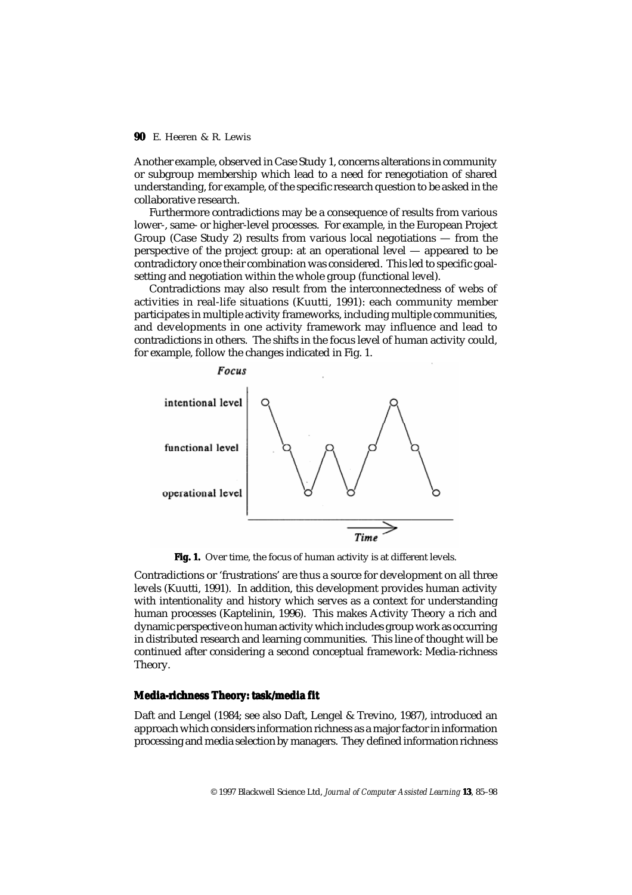Another example, observed in Case Study 1, concerns alterations in community or subgroup membership which lead to a need for renegotiation of shared understanding, for example, of the specific research question to be asked in the collaborative research.

Furthermore contradictions may be a consequence of results from various lower-, same- or higher-level processes. For example, in the European Project Group (Case Study 2) results from various local negotiations — from the perspective of the project group: at an operational level — appeared to be contradictory once their combination was considered. This led to specific goalsetting and negotiation within the whole group (functional level).

Contradictions may also result from the interconnectedness of webs of activities in real-life situations (Kuutti, 1991): each community member participates in multiple activity frameworks, including multiple communities, and developments in one activity framework may influence and lead to contradictions in others. The shifts in the focus level of human activity could, for example, follow the changes indicated in Fig. 1.



Fig. 1. Over time, the focus of human activity is at different levels.

Contradictions or 'frustrations' are thus a source for development on all three levels (Kuutti, 1991). In addition, this development provides human activity with intentionality and history which serves as a context for understanding human processes (Kaptelinin, 1996). This makes Activity Theory a rich and dynamic perspective on human activity which includes group work as occurring in distributed research and learning communities. This line of thought will be continued after considering a second conceptual framework: Media-richness Theory.

# **Media-richness Theory: task/media fit**

Daft and Lengel (1984; see also Daft, Lengel & Trevino, 1987), introduced an approach which considers information richness as a major factor in information processing and media selection by managers. They defined information richness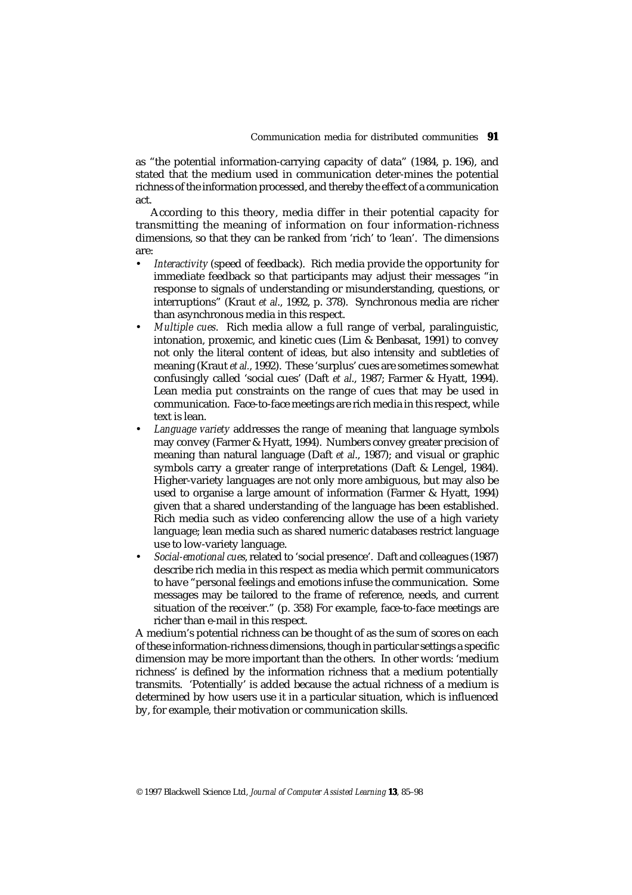as "the potential information-carrying capacity of data" (1984, p. 196), and stated that the medium used in communication deter-mines the potential richness of the information processed, and thereby the effect of a communication act.

According to this theory, media differ in their potential capacity for transmitting the meaning of information on four information-richness dimensions, so that they can be ranked from 'rich' to 'lean'. The dimensions are:

- *Interactivity* (speed of feedback). Rich media provide the opportunity for immediate feedback so that participants may adjust their messages "in response to signals of understanding or misunderstanding, questions, or interruptions" (Kraut *et al*., 1992, p. 378). Synchronous media are richer than asynchronous media in this respect.
- *Multiple cues*. Rich media allow a full range of verbal, paralinguistic, intonation, proxemic, and kinetic cues (Lim & Benbasat, 1991) to convey not only the literal content of ideas, but also intensity and subtleties of meaning (Kraut *et al.*, 1992). These 'surplus' cues are sometimes somewhat confusingly called 'social cues' (Daft *et al*., 1987; Farmer & Hyatt, 1994). Lean media put constraints on the range of cues that may be used in communication. Face-to-face meetings are rich media in this respect, while text is lean.
- *Language variety* addresses the range of meaning that language symbols may convey (Farmer & Hyatt, 1994). Numbers convey greater precision of meaning than natural language (Daft *et al*., 1987); and visual or graphic symbols carry a greater range of interpretations (Daft & Lengel, 1984). Higher-variety languages are not only more ambiguous, but may also be used to organise a large amount of information (Farmer & Hyatt, 1994) given that a shared understanding of the language has been established. Rich media such as video conferencing allow the use of a high variety language; lean media such as shared numeric databases restrict language use to low-variety language.
- *Social-emotional cues*, related to 'social presence'. Daft and colleagues (1987) describe rich media in this respect as media which permit communicators to have "personal feelings and emotions infuse the communication. Some messages may be tailored to the frame of reference, needs, and current situation of the receiver." (p. 358) For example, face-to-face meetings are richer than e-mail in this respect.

A medium's potential richness can be thought of as the sum of scores on each of these information-richness dimensions, though in particular settings a specific dimension may be more important than the others. In other words: 'medium richness' is defined by the information richness that a medium potentially transmits. 'Potentially' is added because the actual richness of a medium is determined by how users use it in a particular situation, which is influenced by, for example, their motivation or communication skills.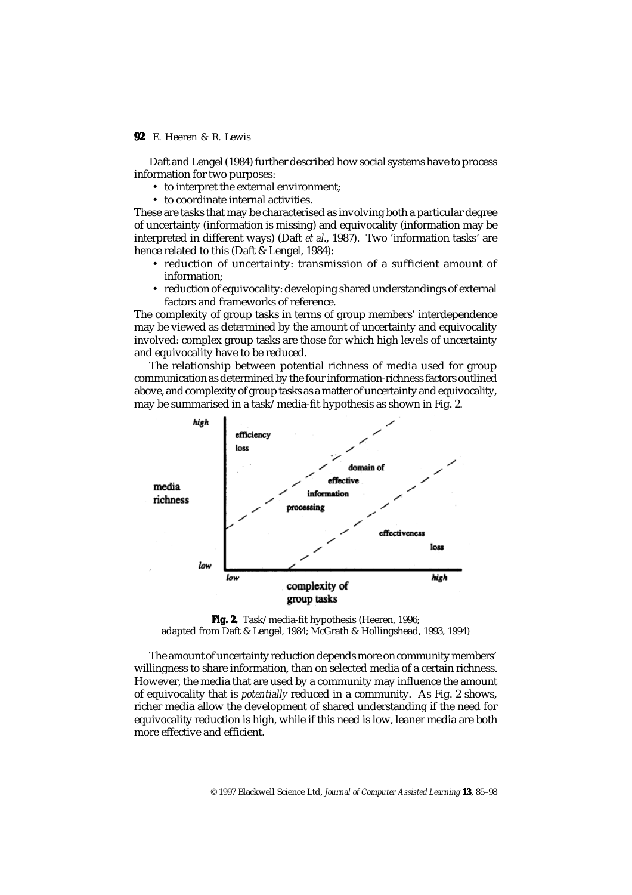Daft and Lengel (1984) further described how social systems have to process information for two purposes:

- to interpret the external environment;
- to coordinate internal activities.

These are tasks that may be characterised as involving both a particular degree of uncertainty (information is missing) and equivocality (information may be interpreted in different ways) (Daft *et al*., 1987). Two 'information tasks' are hence related to this (Daft & Lengel, 1984):

- reduction of uncertainty: transmission of a sufficient amount of information;
- reduction of equivocality: developing shared understandings of external factors and frameworks of reference.

The complexity of group tasks in terms of group members' interdependence may be viewed as determined by the amount of uncertainty and equivocality involved: complex group tasks are those for which high levels of uncertainty and equivocality have to be reduced.

The relationship between potential richness of media used for group communication as determined by the four information-richness factors outlined above, and complexity of group tasks as a matter of uncertainty and equivocality, may be summarised in a task/media-fit hypothesis as shown in Fig. 2.



**Fig. 2.** Task/media-fit hypothesis (Heeren, 1996; adapted from Daft & Lengel, 1984; McGrath & Hollingshead, 1993, 1994)

The amount of uncertainty reduction depends more on community members' willingness to share information, than on selected media of a certain richness. However, the media that are used by a community may influence the amount of equivocality that is *potentially* reduced in a community. As Fig. 2 shows, richer media allow the development of shared understanding if the need for equivocality reduction is high, while if this need is low, leaner media are both more effective and efficient.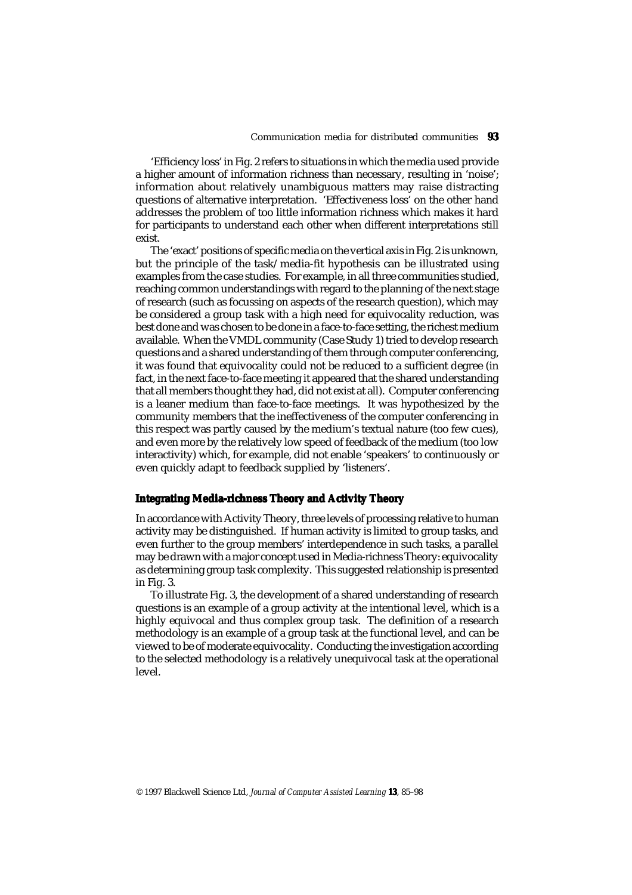'Efficiency loss' in Fig. 2 refers to situations in which the media used provide a higher amount of information richness than necessary, resulting in 'noise'; information about relatively unambiguous matters may raise distracting questions of alternative interpretation. 'Effectiveness loss' on the other hand addresses the problem of too little information richness which makes it hard for participants to understand each other when different interpretations still exist.

The 'exact' positions of specific media on the vertical axis in Fig. 2 is unknown, but the principle of the task/media-fit hypothesis can be illustrated using examples from the case studies. For example, in all three communities studied, reaching common understandings with regard to the planning of the next stage of research (such as focussing on aspects of the research question), which may be considered a group task with a high need for equivocality reduction, was best done and was chosen to be done in a face-to-face setting, the richest medium available. When the VMDL community (Case Study 1) tried to develop research questions and a shared understanding of them through computer conferencing, it was found that equivocality could not be reduced to a sufficient degree (in fact, in the next face-to-face meeting it appeared that the shared understanding that all members thought they had, did not exist at all). Computer conferencing is a leaner medium than face-to-face meetings. It was hypothesized by the community members that the ineffectiveness of the computer conferencing in this respect was partly caused by the medium's textual nature (too few cues), and even more by the relatively low speed of feedback of the medium (too low interactivity) which, for example, did not enable 'speakers' to continuously or even quickly adapt to feedback supplied by 'listeners'.

## **Integrating Media-richness Theory and Activity Theory**

In accordance with Activity Theory, three levels of processing relative to human activity may be distinguished. If human activity is limited to group tasks, and even further to the group members' interdependence in such tasks, a parallel may be drawn with a major concept used in Media-richness Theory: equivocality as determining group task complexity. This suggested relationship is presented in Fig. 3.

To illustrate Fig. 3, the development of a shared understanding of research questions is an example of a group activity at the intentional level, which is a highly equivocal and thus complex group task. The definition of a research methodology is an example of a group task at the functional level, and can be viewed to be of moderate equivocality. Conducting the investigation according to the selected methodology is a relatively unequivocal task at the operational level.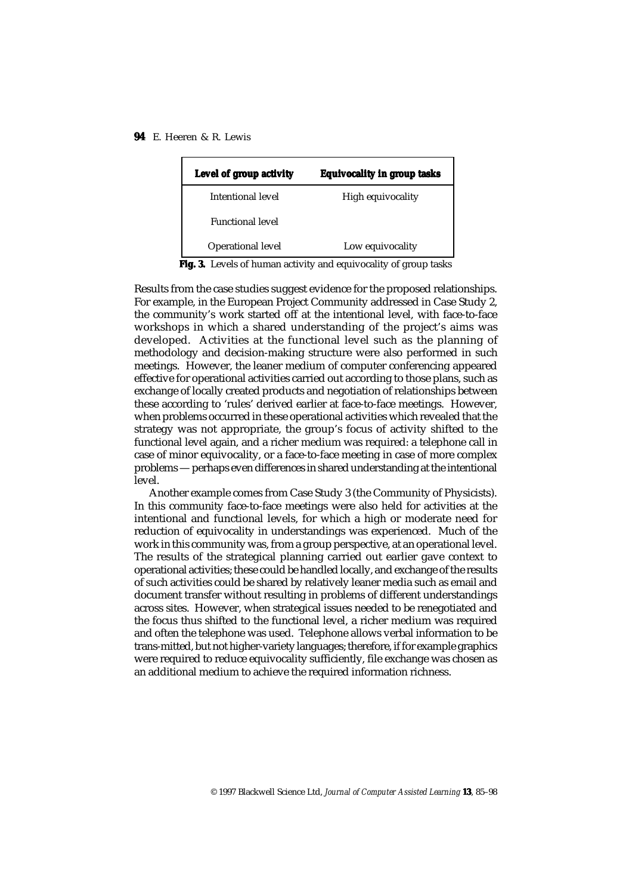| Level of group activity | <b>Equivocality in group tasks</b> |
|-------------------------|------------------------------------|
| Intentional level       | High equivocality                  |
| <b>Functional level</b> |                                    |
| Operational level       | Low equivocality                   |

**Fig. 3. Fig. 3.** Levels of human activity and equivocality of group tasks

Results from the case studies suggest evidence for the proposed relationships. For example, in the European Project Community addressed in Case Study 2, the community's work started off at the intentional level, with face-to-face workshops in which a shared understanding of the project's aims was developed. Activities at the functional level such as the planning of methodology and decision-making structure were also performed in such meetings. However, the leaner medium of computer conferencing appeared effective for operational activities carried out according to those plans, such as exchange of locally created products and negotiation of relationships between these according to 'rules' derived earlier at face-to-face meetings. However, when problems occurred in these operational activities which revealed that the strategy was not appropriate, the group's focus of activity shifted to the functional level again, and a richer medium was required: a telephone call in case of minor equivocality, or a face-to-face meeting in case of more complex problems — perhaps even differences in shared understanding at the intentional level.

Another example comes from Case Study 3 (the Community of Physicists). In this community face-to-face meetings were also held for activities at the intentional and functional levels, for which a high or moderate need for reduction of equivocality in understandings was experienced. Much of the work in this community was, from a group perspective, at an operational level. The results of the strategical planning carried out earlier gave context to operational activities; these could be handled locally, and exchange of the results of such activities could be shared by relatively leaner media such as email and document transfer without resulting in problems of different understandings across sites. However, when strategical issues needed to be renegotiated and the focus thus shifted to the functional level, a richer medium was required and often the telephone was used. Telephone allows verbal information to be trans-mitted, but not higher-variety languages; therefore, if for example graphics were required to reduce equivocality sufficiently, file exchange was chosen as an additional medium to achieve the required information richness.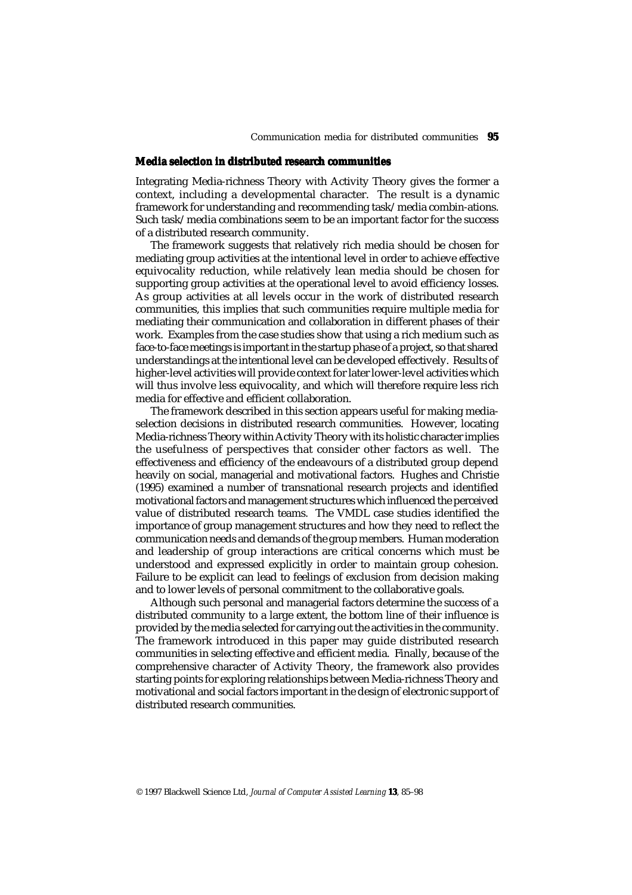## **Media selection in distributed research communities**

Integrating Media-richness Theory with Activity Theory gives the former a context, including a developmental character. The result is a dynamic framework for understanding and recommending task/media combin-ations. Such task/media combinations seem to be an important factor for the success of a distributed research community.

The framework suggests that relatively rich media should be chosen for mediating group activities at the intentional level in order to achieve effective equivocality reduction, while relatively lean media should be chosen for supporting group activities at the operational level to avoid efficiency losses. As group activities at all levels occur in the work of distributed research communities, this implies that such communities require multiple media for mediating their communication and collaboration in different phases of their work. Examples from the case studies show that using a rich medium such as face-to-face meetings is important in the startup phase of a project, so that shared understandings at the intentional level can be developed effectively. Results of higher-level activities will provide context for later lower-level activities which will thus involve less equivocality, and which will therefore require less rich media for effective and efficient collaboration.

The framework described in this section appears useful for making mediaselection decisions in distributed research communities. However, locating Media-richness Theory within Activity Theory with its holistic character implies the usefulness of perspectives that consider other factors as well. The effectiveness and efficiency of the endeavours of a distributed group depend heavily on social, managerial and motivational factors. Hughes and Christie (1995) examined a number of transnational research projects and identified motivational factors and management structures which influenced the perceived value of distributed research teams. The VMDL case studies identified the importance of group management structures and how they need to reflect the communication needs and demands of the group members. Human moderation and leadership of group interactions are critical concerns which must be understood and expressed explicitly in order to maintain group cohesion. Failure to be explicit can lead to feelings of exclusion from decision making and to lower levels of personal commitment to the collaborative goals.

Although such personal and managerial factors determine the success of a distributed community to a large extent, the bottom line of their influence is provided by the media selected for carrying out the activities in the community. The framework introduced in this paper may guide distributed research communities in selecting effective and efficient media. Finally, because of the comprehensive character of Activity Theory, the framework also provides starting points for exploring relationships between Media-richness Theory and motivational and social factors important in the design of electronic support of distributed research communities.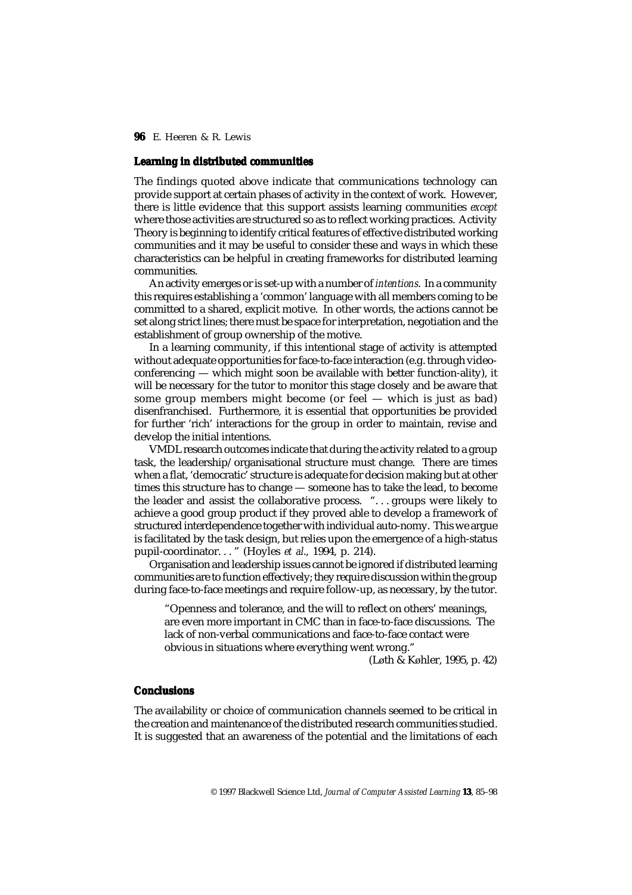## **Learning in distributed communities**

The findings quoted above indicate that communications technology can provide support at certain phases of activity in the context of work. However, there is little evidence that this support assists learning communities *except* where those activities are structured so as to reflect working practices. Activity Theory is beginning to identify critical features of effective distributed working communities and it may be useful to consider these and ways in which these characteristics can be helpful in creating frameworks for distributed learning communities.

An activity emerges or is set-up with a number of *intentions*. In a community this requires establishing a 'common' language with all members coming to be committed to a shared, explicit motive. In other words, the actions cannot be set along strict lines; there must be space for interpretation, negotiation and the establishment of group ownership of the motive.

In a learning community, if this intentional stage of activity is attempted without adequate opportunities for face-to-face interaction (e.g. through videoconferencing — which might soon be available with better function-ality), it will be necessary for the tutor to monitor this stage closely and be aware that some group members might become (or feel — which is just as bad) disenfranchised. Furthermore, it is essential that opportunities be provided for further 'rich' interactions for the group in order to maintain, revise and develop the initial intentions.

VMDL research outcomes indicate that during the activity related to a group task, the leadership/organisational structure must change. There are times when a flat, 'democratic' structure is adequate for decision making but at other times this structure has to change — someone has to take the lead, to become the leader and assist the collaborative process. ". . . groups were likely to achieve a good group product if they proved able to develop a framework of structured interdependence together with individual auto-nomy. This we argue is facilitated by the task design, but relies upon the emergence of a high-status pupil-coordinator. . . " (Hoyles *et al*., 1994, p. 214).

Organisation and leadership issues cannot be ignored if distributed learning communities are to function effectively; they require discussion within the group during face-to-face meetings and require follow-up, as necessary, by the tutor.

"Openness and tolerance, and the will to reflect on others' meanings, are even more important in CMC than in face-to-face discussions. The lack of non-verbal communications and face-to-face contact were obvious in situations where everything went wrong."

(Løth & Køhler, 1995, p. 42)

## **Conclusions**

The availability or choice of communication channels seemed to be critical in the creation and maintenance of the distributed research communities studied. It is suggested that an awareness of the potential and the limitations of each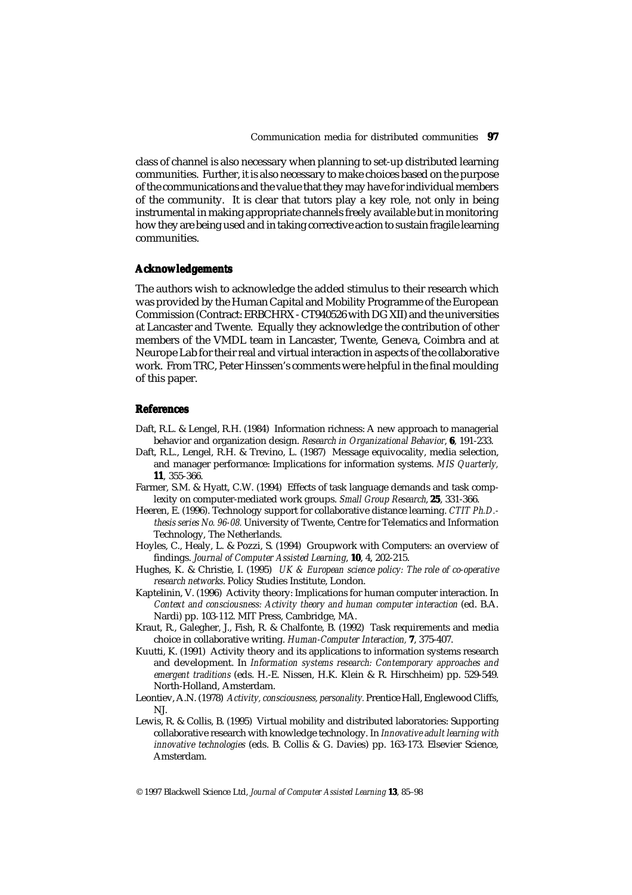class of channel is also necessary when planning to set-up distributed learning communities. Further, it is also necessary to make choices based on the purpose of the communications and the value that they may have for individual members of the community. It is clear that tutors play a key role, not only in being instrumental in making appropriate channels freely available but in monitoring how they are being used and in taking corrective action to sustain fragile learning communities.

#### **Acknowledgements**

The authors wish to acknowledge the added stimulus to their research which was provided by the Human Capital and Mobility Programme of the European Commission (Contract: ERBCHRX - CT940526 with DG XII) and the universities at Lancaster and Twente. Equally they acknowledge the contribution of other members of the VMDL team in Lancaster, Twente, Geneva, Coimbra and at Neurope Lab for their real and virtual interaction in aspects of the collaborative work. From TRC, Peter Hinssen's comments were helpful in the final moulding of this paper.

#### **References**

- Daft, R.L. & Lengel, R.H. (1984) Information richness: A new approach to managerial behavior and organization design. *Research in Organizational Behavior*, **6**, 191-233.
- Daft, R.L., Lengel, R.H. & Trevino, L. (1987) Message equivocality, media selection, and manager performance: Implications for information systems. *MIS Quarterly,* **11**, 355-366.
- Farmer, S.M. & Hyatt, C.W. (1994) Effects of task language demands and task complexity on computer-mediated work groups. *Small Group Research*, **25**, 331-366.
- Heeren, E. (1996). Technology support for collaborative distance learning. *CTIT Ph.D. thesis series No. 96-08.* University of Twente, Centre for Telematics and Information Technology, The Netherlands.
- Hoyles, C., Healy, L. & Pozzi, S. (1994) Groupwork with Computers: an overview of findings. *Journal of Computer Assisted Learning*, **10**, 4, 202-215.
- Hughes, K. & Christie, I. (1995) *UK & European science policy: The role of co-operative research networks*. Policy Studies Institute, London.
- Kaptelinin, V. (1996) Activity theory: Implications for human computer interaction. In *Context and consciousness: Activity theory and human computer interaction* (ed. B.A. Nardi) pp. 103-112. MIT Press, Cambridge, MA.
- Kraut, R., Galegher, J., Fish, R. & Chalfonte, B. (1992) Task requirements and media choice in collaborative writing. *Human-Computer Interaction,* **7**, 375-407.
- Kuutti, K. (1991) Activity theory and its applications to information systems research and development. In *Information systems research: Contemporary approaches and emergent traditions* (eds. H.-E. Nissen, H.K. Klein & R. Hirschheim) pp. 529-549. North-Holland, Amsterdam.
- Leontiev, A.N. (1978) *Activity, consciousness, personality.* Prentice Hall, Englewood Cliffs, NJ.
- Lewis, R. & Collis, B. (1995) Virtual mobility and distributed laboratories: Supporting collaborative research with knowledge technology. In *Innovative adult learning with innovative technologies* (eds. B. Collis & G. Davies) pp. 163-173. Elsevier Science, Amsterdam.